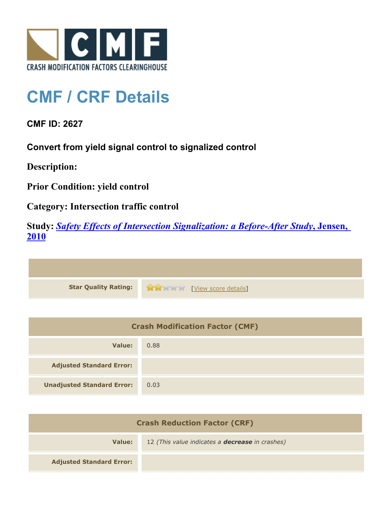

## **CMF / CRF Details**

**CMF ID: 2627**

**Convert from yield signal control to signalized control**

**Description:** 

**Prior Condition: yield control**

**Category: Intersection traffic control**

**Study:** *[Safety Effects of Intersection Signalization: a Before-After Study](http://www.cmfclearinghouse.org/study_detail.cfm?stid=170)***[, Jensen,](http://www.cmfclearinghouse.org/study_detail.cfm?stid=170) [2010](http://www.cmfclearinghouse.org/study_detail.cfm?stid=170)**



| <b>Crash Modification Factor (CMF)</b> |      |
|----------------------------------------|------|
| Value:                                 | 0.88 |
| <b>Adjusted Standard Error:</b>        |      |
| <b>Unadjusted Standard Error:</b>      | 0.03 |

| <b>Crash Reduction Factor (CRF)</b> |                                                        |
|-------------------------------------|--------------------------------------------------------|
| Value:                              | 12 (This value indicates a <b>decrease</b> in crashes) |
| <b>Adjusted Standard Error:</b>     |                                                        |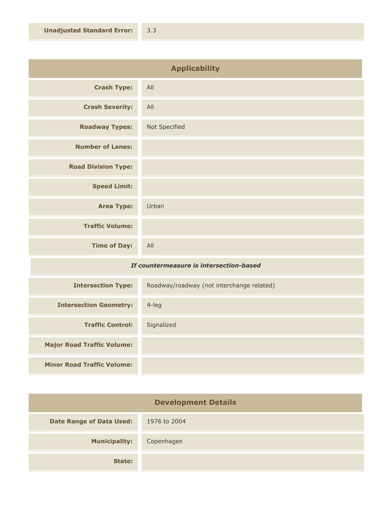| <b>Applicability</b>       |               |
|----------------------------|---------------|
| <b>Crash Type:</b>         | All           |
| <b>Crash Severity:</b>     | All           |
| <b>Roadway Types:</b>      | Not Specified |
| <b>Number of Lanes:</b>    |               |
| <b>Road Division Type:</b> |               |
| <b>Speed Limit:</b>        |               |
| <b>Area Type:</b>          | Urban         |
| <b>Traffic Volume:</b>     |               |
| <b>Time of Day:</b>        | All           |

## *If countermeasure is intersection-based*

| <b>Intersection Type:</b>         | Roadway/roadway (not interchange related) |
|-----------------------------------|-------------------------------------------|
| <b>Intersection Geometry:</b>     | $4$ -leg                                  |
| <b>Traffic Control:</b>           | Signalized                                |
| <b>Major Road Traffic Volume:</b> |                                           |
| <b>Minor Road Traffic Volume:</b> |                                           |

| <b>Development Details</b>      |              |
|---------------------------------|--------------|
| <b>Date Range of Data Used:</b> | 1976 to 2004 |
| <b>Municipality:</b>            | Copenhagen   |
| State:                          |              |